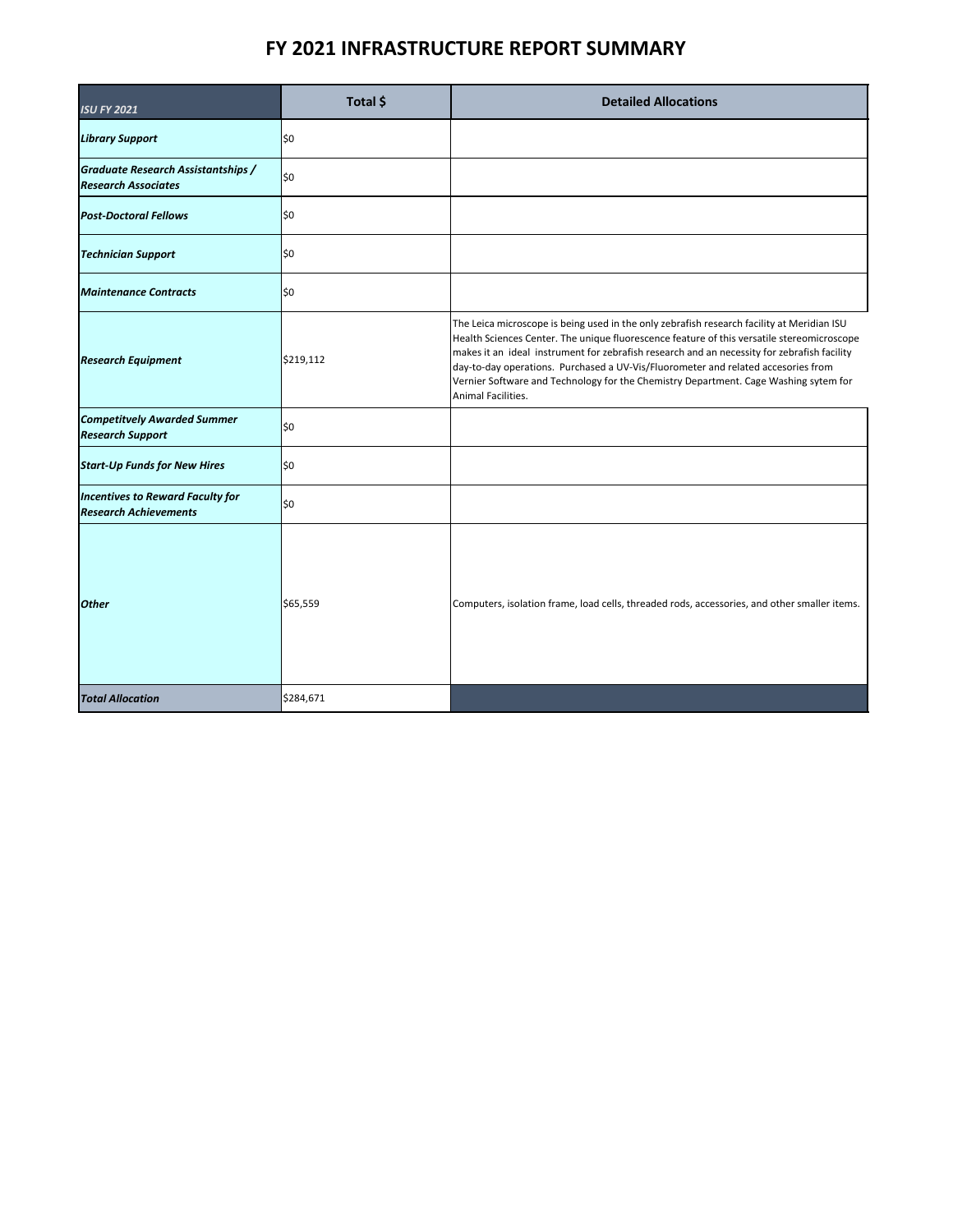## **FY 2021 INFRASTRUCTURE REPORT SUMMARY**

| <b>ISU FY 2021</b>                                                      | Total \$  | <b>Detailed Allocations</b>                                                                                                                                                                                                                                                                                                                                                                                                                                                                |
|-------------------------------------------------------------------------|-----------|--------------------------------------------------------------------------------------------------------------------------------------------------------------------------------------------------------------------------------------------------------------------------------------------------------------------------------------------------------------------------------------------------------------------------------------------------------------------------------------------|
| <b>Library Support</b>                                                  | \$0       |                                                                                                                                                                                                                                                                                                                                                                                                                                                                                            |
| <b>Graduate Research Assistantships /</b><br><b>Research Associates</b> | 1\$0      |                                                                                                                                                                                                                                                                                                                                                                                                                                                                                            |
| <b>Post-Doctoral Fellows</b>                                            | \$0       |                                                                                                                                                                                                                                                                                                                                                                                                                                                                                            |
| <b>Technician Support</b>                                               | \$0       |                                                                                                                                                                                                                                                                                                                                                                                                                                                                                            |
| <b>Maintenance Contracts</b>                                            | \$0       |                                                                                                                                                                                                                                                                                                                                                                                                                                                                                            |
| <b>Research Equipment</b>                                               | \$219,112 | The Leica microscope is being used in the only zebrafish research facility at Meridian ISU<br>Health Sciences Center. The unique fluorescence feature of this versatile stereomicroscope<br>makes it an ideal instrument for zebrafish research and an necessity for zebrafish facility<br>day-to-day operations. Purchased a UV-Vis/Fluorometer and related accesories from<br>Vernier Software and Technology for the Chemistry Department. Cage Washing sytem for<br>Animal Facilities. |
| <b>Competitvely Awarded Summer</b><br><b>Research Support</b>           | \$0       |                                                                                                                                                                                                                                                                                                                                                                                                                                                                                            |
| <b>Start-Up Funds for New Hires</b>                                     | \$0       |                                                                                                                                                                                                                                                                                                                                                                                                                                                                                            |
| <b>Incentives to Reward Faculty for</b><br><b>Research Achievements</b> | \$0       |                                                                                                                                                                                                                                                                                                                                                                                                                                                                                            |
| <b>Other</b>                                                            | \$65,559  | Computers, isolation frame, load cells, threaded rods, accessories, and other smaller items.                                                                                                                                                                                                                                                                                                                                                                                               |
| <b>Total Allocation</b>                                                 | \$284,671 |                                                                                                                                                                                                                                                                                                                                                                                                                                                                                            |